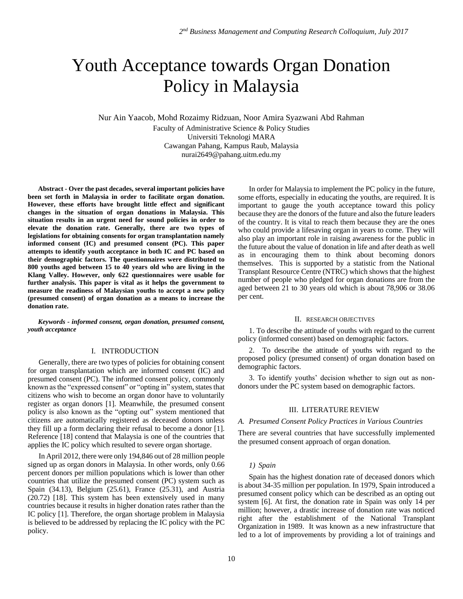# Youth Acceptance towards Organ Donation Policy in Malaysia

Nur Ain Yaacob, Mohd Rozaimy Ridzuan, Noor Amira Syazwani Abd Rahman Faculty of Administrative Science & Policy Studies Universiti Teknologi MARA Cawangan Pahang, Kampus Raub, Malaysia

nurai2649@pahang.uitm.edu.my

**Abstract - Over the past decades, several important policies have been set forth in Malaysia in order to facilitate organ donation. However, these efforts have brought little effect and significant changes in the situation of organ donations in Malaysia. This situation results in an urgent need for sound policies in order to elevate the donation rate. Generally, there are two types of legislations for obtaining consents for organ transplantation namely informed consent (IC) and presumed consent (PC). This paper attempts to identify youth acceptance in both IC and PC based on their demographic factors. The questionnaires were distributed to 800 youths aged between 15 to 40 years old who are living in the Klang Valley. However, only 622 questionnaires were usable for further analysis. This paper is vital as it helps the government to measure the readiness of Malaysian youths to accept a new policy (presumed consent) of organ donation as a means to increase the donation rate.**

*Keywords - informed consent, organ donation, presumed consent, youth acceptance*

## I. INTRODUCTION

Generally, there are two types of policies for obtaining consent for organ transplantation which are informed consent (IC) and presumed consent (PC). The informed consent policy, commonly known as the "expressed consent" or "opting in" system, states that citizens who wish to become an organ donor have to voluntarily register as organ donors [1]. Meanwhile, the presumed consent policy is also known as the "opting out" system mentioned that citizens are automatically registered as deceased donors unless they fill up a form declaring their refusal to become a donor [1]. Reference [18] contend that Malaysia is one of the countries that applies the IC policy which resulted to severe organ shortage.

In April 2012, there were only 194,846 out of 28 million people signed up as organ donors in Malaysia. In other words, only 0.66 percent donors per million populations which is lower than other countries that utilize the presumed consent (PC) system such as Spain (34.13), Belgium (25.61), France (25.31), and Austria (20.72) [18]. This system has been extensively used in many countries because it results in higher donation rates rather than the IC policy [1]. Therefore, the organ shortage problem in Malaysia is believed to be addressed by replacing the IC policy with the PC policy.

In order for Malaysia to implement the PC policy in the future, some efforts, especially in educating the youths, are required. It is important to gauge the youth acceptance toward this policy because they are the donors of the future and also the future leaders of the country. It is vital to reach them because they are the ones who could provide a lifesaving organ in years to come. They will also play an important role in raising awareness for the public in the future about the value of donation in life and after death as well as in encouraging them to think about becoming donors themselves. This is supported by a statistic from the National Transplant Resource Centre (NTRC) which shows that the highest number of people who pledged for organ donations are from the aged between 21 to 30 years old which is about 78,906 or 38.06 per cent.

# II. RESEARCH OBJECTIVES

1. To describe the attitude of youths with regard to the current policy (informed consent) based on demographic factors.

2. To describe the attitude of youths with regard to the proposed policy (presumed consent) of organ donation based on demographic factors.

3. To identify youths' decision whether to sign out as nondonors under the PC system based on demographic factors.

#### III. LITERATURE REVIEW

# *A. Presumed Consent Policy Practices in Various Countries*

There are several countries that have successfully implemented the presumed consent approach of organ donation.

# *1) Spain*

Spain has the highest donation rate of deceased donors which is about 34-35 million per population. In 1979, Spain introduced a presumed consent policy which can be described as an opting out system [6]. At first, the donation rate in Spain was only 14 per million; however, a drastic increase of donation rate was noticed right after the establishment of the National Transplant Organization in 1989. It was known as a new infrastructure that led to a lot of improvements by providing a lot of trainings and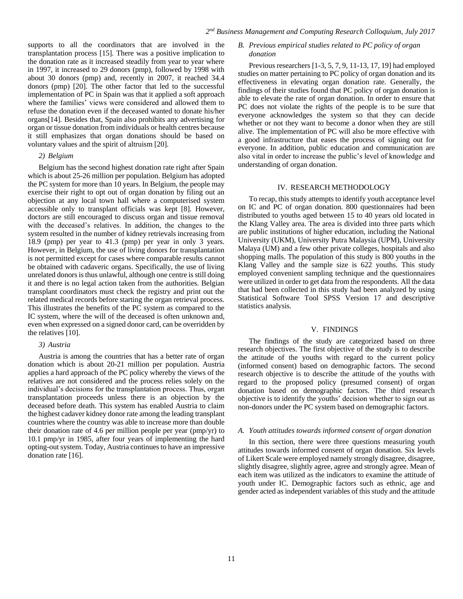supports to all the coordinators that are involved in the transplantation process [15]. There was a positive implication to the donation rate as it increased steadily from year to year where in 1997, it increased to 29 donors (pmp), followed by 1998 with about 30 donors (pmp) and, recently in 2007, it reached 34.4 donors (pmp) [20]. The other factor that led to the successful implementation of PC in Spain was that it applied a soft approach where the families' views were considered and allowed them to refuse the donation even if the deceased wanted to donate his/her organs[14]. Besides that, Spain also prohibits any advertising for organ or tissue donation from individuals or health centres because it still emphasizes that organ donations should be based on voluntary values and the spirit of altruism [20].

# *2) Belgium*

Belgium has the second highest donation rate right after Spain which is about 25-26 million per population. Belgium has adopted the PC system for more than 10 years. In Belgium, the people may exercise their right to opt out of organ donation by filing out an objection at any local town hall where a computerised system accessible only to transplant officials was kept [8]. However, doctors are still encouraged to discuss organ and tissue removal with the deceased's relatives. In addition, the changes to the system resulted in the number of kidney retrievals increasing from 18.9 (pmp) per year to 41.3 (pmp) per year in only 3 years. However, in Belgium, the use of living donors for transplantation is not permitted except for cases where comparable results cannot be obtained with cadaveric organs. Specifically, the use of living unrelated donors is thus unlawful, although one centre is still doing it and there is no legal action taken from the authorities. Belgian transplant coordinators must check the registry and print out the related medical records before starting the organ retrieval process. This illustrates the benefits of the PC system as compared to the IC system, where the will of the deceased is often unknown and, even when expressed on a signed donor card, can be overridden by the relatives [10].

# *3) Austria*

Austria is among the countries that has a better rate of organ donation which is about 20-21 million per population. Austria applies a hard approach of the PC policy whereby the views of the relatives are not considered and the process relies solely on the individual's decisions for the transplantation process. Thus, organ transplantation proceeds unless there is an objection by the deceased before death. This system has enabled Austria to claim the highest cadaver kidney donor rate among the leading transplant countries where the country was able to increase more than double their donation rate of 4.6 per million people per year (pmp/yr) to 10.1 pmp/yr in 1985, after four years of implementing the hard opting-out system. Today, Austria continues to have an impressive donation rate [16].

# *B. Previous empirical studies related to PC policy of organ donation*

Previous researchers [1-3, 5, 7, 9, 11-13, 17, 19] had employed studies on matter pertaining to PC policy of organ donation and its effectiveness in elevating organ donation rate. Generally, the findings of their studies found that PC policy of organ donation is able to elevate the rate of organ donation. In order to ensure that PC does not violate the rights of the people is to be sure that everyone acknowledges the system so that they can decide whether or not they want to become a donor when they are still alive. The implementation of PC will also be more effective with a good infrastructure that eases the process of signing out for everyone. In addition, public education and communication are also vital in order to increase the public's level of knowledge and understanding of organ donation.

# IV. RESEARCH METHODOLOGY

To recap, this study attempts to identify youth acceptance level on IC and PC of organ donation. 800 questionnaires had been distributed to youths aged between 15 to 40 years old located in the Klang Valley area. The area is divided into three parts which are public institutions of higher education, including the National University (UKM), University Putra Malaysia (UPM), University Malaya (UM) and a few other private colleges, hospitals and also shopping malls. The population of this study is 800 youths in the Klang Valley and the sample size is 622 youths. This study employed convenient sampling technique and the questionnaires were utilized in order to get data from the respondents. All the data that had been collected in this study had been analyzed by using Statistical Software Tool SPSS Version 17 and descriptive statistics analysis.

#### V. FINDINGS

The findings of the study are categorized based on three research objectives. The first objective of the study is to describe the attitude of the youths with regard to the current policy (informed consent) based on demographic factors. The second research objective is to describe the attitude of the youths with regard to the proposed policy (presumed consent) of organ donation based on demographic factors. The third research objective is to identify the youths' decision whether to sign out as non-donors under the PC system based on demographic factors.

#### *A. Youth attitudes towards informed consent of organ donation*

In this section, there were three questions measuring youth attitudes towards informed consent of organ donation. Six levels of Likert Scale were employed namely strongly disagree, disagree, slightly disagree, slightly agree, agree and strongly agree. Mean of each item was utilized as the indicators to examine the attitude of youth under IC. Demographic factors such as ethnic, age and gender acted as independent variables of this study and the attitude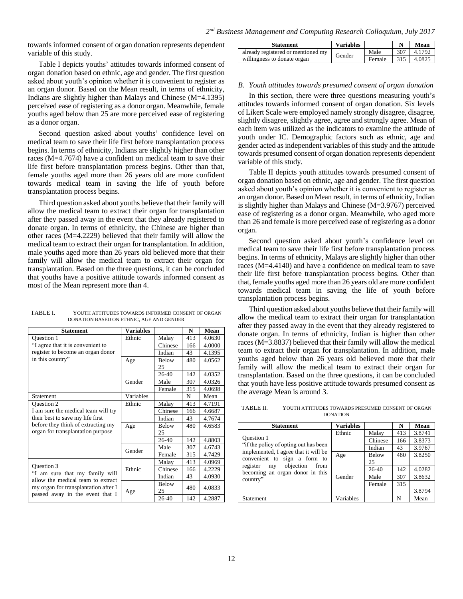towards informed consent of organ donation represents dependent variable of this study.

Table I depicts youths' attitudes towards informed consent of organ donation based on ethnic, age and gender. The first question asked about youth's opinion whether it is convenient to register as an organ donor. Based on the Mean result, in terms of ethnicity, Indians are slightly higher than Malays and Chinese (M=4.1395) perceived ease of registering as a donor organ. Meanwhile, female youths aged below than 25 are more perceived ease of registering as a donor organ.

Second question asked about youths' confidence level on medical team to save their life first before transplantation process begins. In terms of ethnicity, Indians are slightly higher than other races (M=4.7674) have a confident on medical team to save their life first before transplantation process begins. Other than that, female youths aged more than 26 years old are more confident towards medical team in saving the life of youth before transplantation process begins.

Third question asked about youths believe that their family will allow the medical team to extract their organ for transplantation after they passed away in the event that they already registered to donate organ. In terms of ethnicity, the Chinese are higher than other races (M=4.2229) believed that their family will allow the medical team to extract their organ for transplantation. In addition, male youths aged more than 26 years old believed more that their family will allow the medical team to extract their organ for transplantation. Based on the three questions, it can be concluded that youths have a positive attitude towards informed consent as most of the Mean represent more than 4.

| <b>Statement</b>                                                                                                                                                    | <b>Variables</b> |              | N   | Mean   |
|---------------------------------------------------------------------------------------------------------------------------------------------------------------------|------------------|--------------|-----|--------|
| <b>Ouestion 1</b>                                                                                                                                                   | Ethnic           | Malay        | 413 | 4.0630 |
| "I agree that it is convenient to                                                                                                                                   |                  | Chinese      | 166 | 4.0000 |
| register to become an organ donor                                                                                                                                   |                  | Indian       | 43  | 4.1395 |
| in this country"                                                                                                                                                    | Age              | <b>Below</b> | 480 | 4.0562 |
|                                                                                                                                                                     |                  | 25           |     |        |
|                                                                                                                                                                     |                  | $26-40$      | 142 | 4.0352 |
|                                                                                                                                                                     | Gender           | Male         | 307 | 4.0326 |
|                                                                                                                                                                     |                  | Female       | 315 | 4.0698 |
| Statement                                                                                                                                                           | Variables        |              | N   | Mean   |
| <b>Ouestion 2</b><br>I am sure the medical team will try<br>their best to save my life first<br>before they think of extracting my                                  | Ethnic           | Malay        | 413 | 4.7191 |
|                                                                                                                                                                     |                  | Chinese      | 166 | 4.6687 |
|                                                                                                                                                                     |                  | Indian       | 43  | 4.7674 |
|                                                                                                                                                                     | Age              | Below        | 480 | 4.6583 |
| organ for transplantation purpose                                                                                                                                   |                  | 25           |     |        |
|                                                                                                                                                                     |                  | $26-40$      | 142 | 4.8803 |
|                                                                                                                                                                     | Gender           | Male         | 307 | 4.6743 |
|                                                                                                                                                                     |                  | Female       | 315 | 4.7429 |
|                                                                                                                                                                     |                  | Malay        | 413 | 4.0969 |
| <b>Ouestion 3</b><br>"I am sure that my family will<br>allow the medical team to extract<br>my organ for transplantation after I<br>passed away in the event that I | Ethnic           | Chinese      | 166 | 4.2229 |
|                                                                                                                                                                     |                  | Indian       | 43  | 4.0930 |
|                                                                                                                                                                     | Age              | <b>Below</b> | 480 | 4.0833 |
|                                                                                                                                                                     |                  | 25           |     |        |
|                                                                                                                                                                     |                  | 26-40        | 142 | 4.2887 |

| TABLE L | YOUTH ATTITUDES TOWARDS INFORMED CONSENT OF ORGAN |
|---------|---------------------------------------------------|
|         | DONATION BASED ON ETHNIC, AGE AND GENDER          |

| <b>Statement</b>                   | <b>Variables</b> |        |     | Mean   |
|------------------------------------|------------------|--------|-----|--------|
| already registered or mentioned my | Gender           | Male   | 307 | 4.1792 |
| willingness to donate organ        |                  | Female | 315 | 4.0825 |

### *B. Youth attitudes towards presumed consent of organ donation*

In this section, there were three questions measuring youth's attitudes towards informed consent of organ donation. Six levels of Likert Scale were employed namely strongly disagree, disagree, slightly disagree, slightly agree, agree and strongly agree. Mean of each item was utilized as the indicators to examine the attitude of youth under IC. Demographic factors such as ethnic, age and gender acted as independent variables of this study and the attitude towards presumed consent of organ donation represents dependent variable of this study.

Table II depicts youth attitudes towards presumed consent of organ donation based on ethnic, age and gender. The first question asked about youth's opinion whether it is convenient to register as an organ donor. Based on Mean result, in terms of ethnicity, Indian is slightly higher than Malays and Chinese (M=3.9767) perceived ease of registering as a donor organ. Meanwhile, who aged more than 26 and female is more perceived ease of registering as a donor organ.

Second question asked about youth's confidence level on medical team to save their life first before transplantation process begins. In terms of ethnicity, Malays are slightly higher than other races (M=4.4140) and have a confidence on medical team to save their life first before transplantation process begins. Other than that, female youths aged more than 26 years old are more confident towards medical team in saving the life of youth before transplantation process begins.

Third question asked about youths believe that their family will allow the medical team to extract their organ for transplantation after they passed away in the event that they already registered to donate organ. In terms of ethnicity, Indian is higher than other races (M=3.8837) believed that their family will allow the medical team to extract their organ for transplantation. In addition, male youths aged below than 26 years old believed more that their family will allow the medical team to extract their organ for transplantation. Based on the three questions, it can be concluded that youth have less positive attitude towards presumed consent as the average Mean is around 3.

TABLE II. YOUTH ATTITUDES TOWARDS PRESUMED CONSENT OF ORGAN DONATION

| <b>Statement</b>                                                                                                                                                                                                            | <b>Variables</b> |              | N   | Mean   |
|-----------------------------------------------------------------------------------------------------------------------------------------------------------------------------------------------------------------------------|------------------|--------------|-----|--------|
| <b>Ouestion 1</b><br>"if the policy of opting out has been<br>implemented, I agree that it will be<br>convenient to<br>sign a form to<br>objection<br>register<br>from<br>my<br>becoming an organ donor in this<br>country" | Ethnic           | Malay        | 413 | 3.8741 |
|                                                                                                                                                                                                                             |                  | Chinese      | 166 | 3.8373 |
|                                                                                                                                                                                                                             |                  | Indian       | 43  | 3.9767 |
|                                                                                                                                                                                                                             | Age              | <b>Below</b> | 480 | 3.8250 |
|                                                                                                                                                                                                                             |                  | 25           |     |        |
|                                                                                                                                                                                                                             |                  | 26-40        | 142 | 4.0282 |
|                                                                                                                                                                                                                             | Gender           | Male         | 307 | 3.8632 |
|                                                                                                                                                                                                                             |                  | Female       | 315 |        |
|                                                                                                                                                                                                                             |                  |              |     | 3.8794 |
| Statement                                                                                                                                                                                                                   | Variables        |              | N   | Mean   |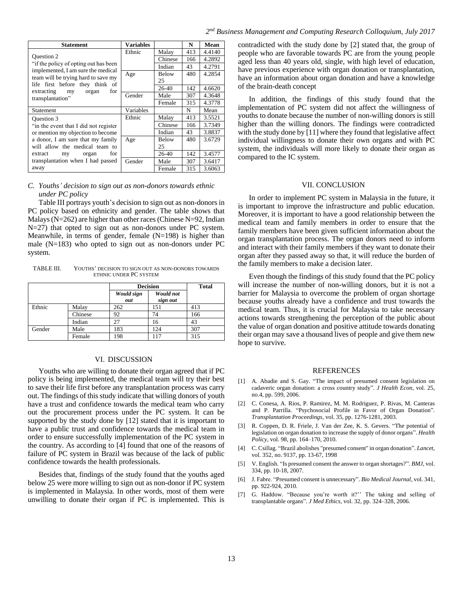| Statement                                                                                                                      | <b>Variables</b> |              | N   | Mean   |
|--------------------------------------------------------------------------------------------------------------------------------|------------------|--------------|-----|--------|
| <b>Ouestion 2</b>                                                                                                              | Ethnic           | Malay        | 413 | 4.4140 |
|                                                                                                                                |                  | Chinese      | 166 | 4.2892 |
| "if the policy of opting out has been                                                                                          |                  | Indian       | 43  | 4.2791 |
| implemented, I am sure the medical                                                                                             | Age              | <b>Below</b> | 480 | 4.2854 |
| team will be trying hard to save my<br>life first before they think of<br>extracting<br>for<br>my<br>organ<br>transplantation" |                  | 25           |     |        |
|                                                                                                                                |                  | $26-40$      | 142 | 4.6620 |
|                                                                                                                                | Gender           | Male         | 307 | 4.3648 |
|                                                                                                                                |                  | Female       | 315 | 4.3778 |
| Statement                                                                                                                      | Variables        |              | N   | Mean   |
| Ouestion 3                                                                                                                     | Ethnic           | Malay        | 413 | 3.5521 |
| "in the event that I did not register"                                                                                         |                  | Chinese      | 166 | 3.7349 |
| or mention my objection to become                                                                                              |                  | Indian       | 43  | 3.8837 |
| a donor, I am sure that my family                                                                                              | Age              | <b>Below</b> | 480 | 3.6729 |
| will allow the medical team to                                                                                                 |                  | 25           |     |        |
| for<br>extract<br>my<br>organ                                                                                                  |                  | 26-40        | 142 | 3.4577 |
| transplantation when I had passed                                                                                              | Gender           | Male         | 307 | 3.6417 |
| away                                                                                                                           |                  | Female       | 315 | 3.6063 |

# *C. Youths' decision to sign out as non-donors towards ethnic under PC policy*

Table III portrays youth's decision to sign out as non-donors in PC policy based on ethnicity and gender. The table shows that Malays ( $N=262$ ) are higher than other races (Chinese  $N=92$ , Indian N=27) that opted to sign out as non-donors under PC system. Meanwhile, in terms of gender, female (N=198) is higher than male (N=183) who opted to sign out as non-donors under PC system.

TABLE III. YOUTHS' DECISION TO SIGN OUT AS NON-DONORS TOWARDS ETHNIC UNDER PC SYSTEM

|        |         | <b>Decision</b>   |                       | <b>Total</b> |
|--------|---------|-------------------|-----------------------|--------------|
|        |         | Would sign<br>out | Would not<br>sign out |              |
| Ethnic | Malay   | 262               | 151                   | 413          |
|        | Chinese | 92                | 74                    | 166          |
|        | Indian  | 27                | 16                    | 43           |
| Gender | Male    | 183               | 124                   | 307          |
|        | Female  | 198               |                       | 315          |

### VI. DISCUSSION

Youths who are willing to donate their organ agreed that if PC policy is being implemented, the medical team will try their best to save their life first before any transplantation process was carry out. The findings of this study indicate that willing donors of youth have a trust and confidence towards the medical team who carry out the procurement process under the PC system. It can be supported by the study done by [12] stated that it is important to have a public trust and confidence towards the medical team in order to ensure successfully implementation of the PC system in the country. As according to [4] found that one of the reasons of failure of PC system in Brazil was because of the lack of public confidence towards the health professionals.

Besides that, findings of the study found that the youths aged below 25 were more willing to sign out as non-donor if PC system is implemented in Malaysia. In other words, most of them were unwilling to donate their organ if PC is implemented. This is contradicted with the study done by [2] stated that, the group of people who are favorable towards PC are from the young people aged less than 40 years old, single, with high level of education, have previous experience with organ donation or transplantation, have an information about organ donation and have a knowledge of the brain-death concept

In addition, the findings of this study found that the implementation of PC system did not affect the willingness of youths to donate because the number of non-willing donors is still higher than the willing donors. The findings were contradicted with the study done by [11] where they found that legislative affect individual willingness to donate their own organs and with PC system, the individuals will more likely to donate their organ as compared to the IC system.

## VII. CONCLUSION

In order to implement PC system in Malaysia in the future, it is important to improve the infrastructure and public education. Moreover, it is important to have a good relationship between the medical team and family members in order to ensure that the family members have been given sufficient information about the organ transplantation process. The organ donors need to inform and interact with their family members if they want to donate their organ after they passed away so that, it will reduce the burden of the family members to make a decision later.

Even though the findings of this study found that the PC policy will increase the number of non-willing donors, but it is not a barrier for Malaysia to overcome the problem of organ shortage because youths already have a confidence and trust towards the medical team. Thus, it is crucial for Malaysia to take necessary actions towards strengthening the perception of the public about the value of organ donation and positive attitude towards donating their organ may save a thousand lives of people and give them new hope to survive.

## REFERENCES

- [1] A. Abadie and S. Gay. "The impact of presumed consent legislation on cadaveric organ donation: a cross country study". *J Health Econ*, vol. 25, no.4, pp. 599, 2006.
- [2] C. Conesa, A. Rios, P. Ramirez, M. M. Rodriguez, P. Rivas, M. Canteras and P. Parrilla. "Psychosocial Profile in Favor of Organ Donation". *Transplantation Proceedings*, vol. 35, pp. 1276-1281, 2003.
- [3] R. Coppen, D. R. Friele, J. Van der Zee, K. S. Gevers. "The potential of legislation on organ donation to increase the supply of donor organs". *Health Policy*, vol. 98, pp. 164–170, 2010.
- [4] C. Csillag. "Brazil abolishes "presumed consent" in organ donation". *Lancet*, vol. 352, no. 9137, pp. 13-67, 1998
- [5] V. English. "Is presumed consent the answer to organ shortages?". *BMJ*, vol. 334, pp. 10-18, 2007.
- [6] J. Fabre. "Presumed consent is unnecessary". *Bio Medical Journal*, vol. 341, pp. 922-924, 2010.
- [7] G. Haddow. "Because you're worth it?'' The taking and selling of transplantable organs"*. J Med Ethics*, vol. 32, pp. 324–328, 2006.